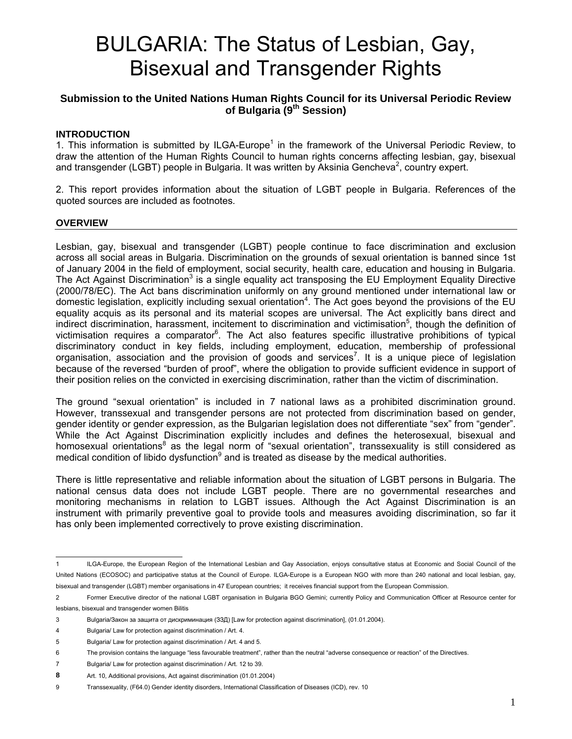# BULGARIA: The Status of Lesbian, Gay, Bisexual and Transgender Rights

### **Submission to the United Nations Human Rights Council for its Universal Periodic Review of Bulgaria (9th Session)**

#### **INTRODUCTION**

1. This information is submitted by ILGA-Europe<sup>1</sup> in the framework of the Universal Periodic Review, to draw the attention of the Human Rights Council to human rights concerns affecting lesbian, gay, bisexual and transgender (LGBT) people in Bulgaria. It was written by Aksinia Gencheva<sup>2</sup>, country expert.

2. This report provides information about the situation of LGBT people in Bulgaria. References of the quoted sources are included as footnotes.

#### **OVERVIEW**

Lesbian, gay, bisexual and transgender (LGBT) people continue to face discrimination and exclusion across all social areas in Bulgaria. Discrimination on the grounds of sexual orientation is banned since 1st of January 2004 in the field of employment, social security, health care, education and housing in Bulgaria. The Act Against Discrimination<sup>3</sup> is a single equality act transposing the EU Employment Equality Directive (2000/78/EC). The Act bans discrimination uniformly on any ground mentioned under international law or domestic legislation, explicitly including sexual orientation<sup>4</sup>. The Act goes beyond the provisions of the EU equality acquis as its personal and its material scopes are universal. The Act explicitly bans direct and indirect discrimination, harassment, incitement to discrimination and victimisation<sup>5</sup>, though the definition of victimisation requires a comparator<sup>6</sup>. The Act also features specific illustrative prohibitions of typical discriminatory conduct in key fields, including employment, education, membership of professional organisation, association and the provision of goods and services<sup>7</sup>. It is a unique piece of legislation because of the reversed "burden of proof", where the obligation to provide sufficient evidence in support of their position relies on the convicted in exercising discrimination, rather than the victim of discrimination.

The ground "sexual orientation" is included in 7 national laws as a prohibited discrimination ground. However, transsexual and transgender persons are not protected from discrimination based on gender, gender identity or gender expression, as the Bulgarian legislation does not differentiate "sex" from "gender". While the Act Against Discrimination explicitly includes and defines the heterosexual, bisexual and homosexual orientations<sup>8</sup> as the legal norm of "sexual orientation", transsexuality is still considered as medical condition of libido dysfunction $9$  and is treated as disease by the medical authorities.

There is little representative and reliable information about the situation of LGBT persons in Bulgaria. The national census data does not include LGBT people. There are no governmental researches and monitoring mechanisms in relation to LGBT issues. Although the Act Against Discrimination is an instrument with primarily preventive goal to provide tools and measures avoiding discrimination, so far it has only been implemented correctively to prove existing discrimination.

 $\overline{1}$ ILGA-Europe, the European Region of the International Lesbian and Gay Association, enjoys consultative status at Economic and Social Council of the United Nations (ECOSOC) and participative status at the Council of Europe. ILGA-Europe is a European NGO with more than 240 national and local lesbian, gay, bisexual and transgender (LGBT) member organisations in 47 European countries; it receives financial support from the European Commission.

<sup>2</sup> Former Executive director of the national LGBT organisation in Bulgaria BGO Gemini; currently Policy and Communication Officer at Resource center for lesbians, bisexual and transgender women Bilitis

<sup>3</sup> Bulgaria/Закон за защита от дискриминация (ЗЗД) [Law for protection against discrimination], (01.01.2004).

<sup>4</sup> Bulgaria/ Law for protection against discrimination / Art. 4.

<sup>5</sup> Bulgaria/ Law for protection against discrimination / Art. 4 and 5.

<sup>6</sup> The provision contains the language "less favourable treatment", rather than the neutral "adverse consequence or reaction" of the Directives.

<sup>7</sup> Bulgaria/ Law for protection against discrimination / Art. 12 to 39. **8** Art. 10, Additional provisions, Act against discrimination (01.01.2004)

<sup>9</sup> Transsexuality, (F64.0) Gender identity disorders, International Classification of Diseases (ICD), rev. 10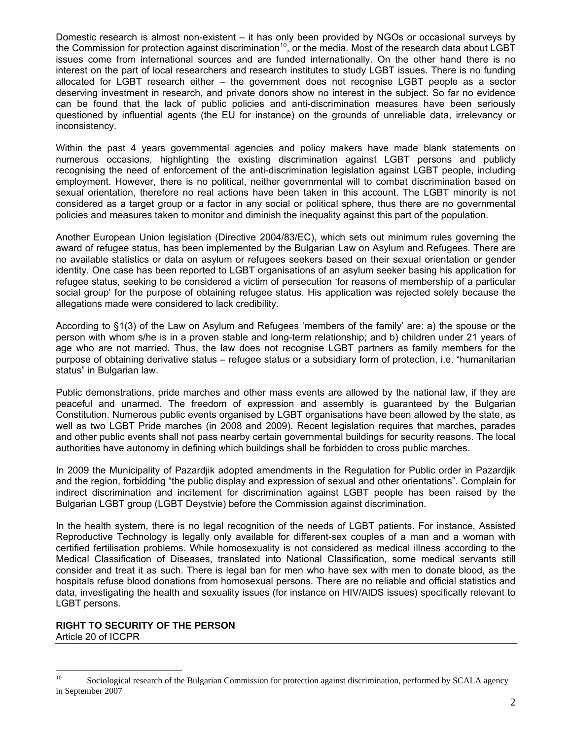Domestic research is almost non-existent – it has only been provided by NGOs or occasional surveys by the Commission for protection against discrimination<sup>10</sup>, or the media. Most of the research data about LGBT issues come from international sources and are funded internationally. On the other hand there is no interest on the part of local researchers and research institutes to study LGBT issues. There is no funding allocated for LGBT research either – the government does not recognise LGBT people as a sector deserving investment in research, and private donors show no interest in the subject. So far no evidence can be found that the lack of public policies and anti-discrimination measures have been seriously questioned by influential agents (the EU for instance) on the grounds of unreliable data, irrelevancy or inconsistency.

Within the past 4 years governmental agencies and policy makers have made blank statements on numerous occasions, highlighting the existing discrimination against LGBT persons and publicly recognising the need of enforcement of the anti-discrimination legislation against LGBT people, including employment. However, there is no political, neither governmental will to combat discrimination based on sexual orientation, therefore no real actions have been taken in this account. The LGBT minority is not considered as a target group or a factor in any social or political sphere, thus there are no governmental policies and measures taken to monitor and diminish the inequality against this part of the population.

Another European Union legislation (Directive 2004/83/EC), which sets out minimum rules governing the award of refugee status, has been implemented by the Bulgarian Law on Asylum and Refugees. There are no available statistics or data on asylum or refugees seekers based on their sexual orientation or gender identity. One case has been reported to LGBT organisations of an asylum seeker basing his application for refugee status, seeking to be considered a victim of persecution 'for reasons of membership of a particular social group' for the purpose of obtaining refugee status. His application was rejected solely because the allegations made were considered to lack credibility.

According to §1(3) of the Law on Asylum and Refugees 'members of the family' are: a) the spouse or the person with whom s/he is in a proven stable and long-term relationship; and b) children under 21 years of age who are not married. Thus, the law does not recognise LGBT partners as family members for the purpose of obtaining derivative status – refugee status or a subsidiary form of protection, i.e. "humanitarian status" in Bulgarian law.

Public demonstrations, pride marches and other mass events are allowed by the national law, if they are peaceful and unarmed. The freedom of expression and assembly is guaranteed by the Bulgarian Constitution. Numerous public events organised by LGBT organisations have been allowed by the state, as well as two LGBT Pride marches (in 2008 and 2009). Recent legislation requires that marches, parades and other public events shall not pass nearby certain governmental buildings for security reasons. The local authorities have autonomy in defining which buildings shall be forbidden to cross public marches.

In 2009 the Municipality of Pazardjik adopted amendments in the Regulation for Public order in Pazardjik and the region, forbidding "the public display and expression of sexual and other orientations". Complain for indirect discrimination and incitement for discrimination against LGBT people has been raised by the Bulgarian LGBT group (LGBT Deystvie) before the Commission against discrimination.

In the health system, there is no legal recognition of the needs of LGBT patients. For instance, Assisted Reproductive Technology is legally only available for different-sex couples of a man and a woman with certified fertilisation problems. While homosexuality is not considered as medical illness according to the Medical Classification of Diseases, translated into National Classification, some medical servants still consider and treat it as such. There is legal ban for men who have sex with men to donate blood, as the hospitals refuse blood donations from homosexual persons. There are no reliable and official statistics and data, investigating the health and sexuality issues (for instance on HIV/AIDS issues) specifically relevant to LGBT persons.

# **RIGHT TO SECURITY OF THE PERSON**

Article 20 of ICCPR

 $10<sup>10</sup>$ Sociological research of the Bulgarian Commission for protection against discrimination, performed by SCALA agency in September 2007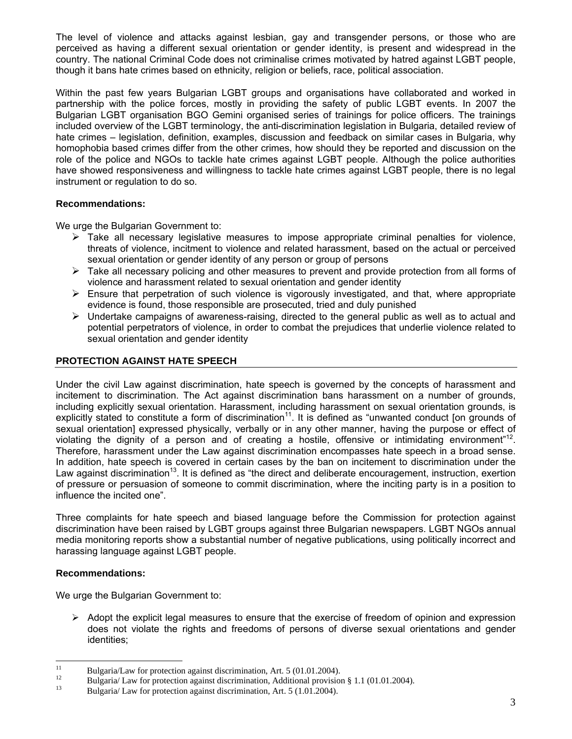The level of violence and attacks against lesbian, gay and transgender persons, or those who are perceived as having a different sexual orientation or gender identity, is present and widespread in the country. The national Criminal Code does not criminalise crimes motivated by hatred against LGBT people, though it bans hate crimes based on ethnicity, religion or beliefs, race, political association.

Within the past few years Bulgarian LGBT groups and organisations have collaborated and worked in partnership with the police forces, mostly in providing the safety of public LGBT events. In 2007 the Bulgarian LGBT organisation BGO Gemini organised series of trainings for police officers. The trainings included overview of the LGBT terminology, the anti-discrimination legislation in Bulgaria, detailed review of hate crimes – legislation, definition, examples, discussion and feedback on similar cases in Bulgaria, why homophobia based crimes differ from the other crimes, how should they be reported and discussion on the role of the police and NGOs to tackle hate crimes against LGBT people. Although the police authorities have showed responsiveness and willingness to tackle hate crimes against LGBT people, there is no legal instrument or regulation to do so.

#### **Recommendations:**

We urge the Bulgarian Government to:

- $\triangleright$  Take all necessary legislative measures to impose appropriate criminal penalties for violence, threats of violence, incitment to violence and related harassment, based on the actual or perceived sexual orientation or gender identity of any person or group of persons
- $\triangleright$  Take all necessary policing and other measures to prevent and provide protection from all forms of violence and harassment related to sexual orientation and gender identity
- $\triangleright$  Ensure that perpetration of such violence is vigorously investigated, and that, where appropriate evidence is found, those responsible are prosecuted, tried and duly punished
- $\triangleright$  Undertake campaigns of awareness-raising, directed to the general public as well as to actual and potential perpetrators of violence, in order to combat the prejudices that underlie violence related to sexual orientation and gender identity

#### **PROTECTION AGAINST HATE SPEECH**

Under the civil Law against discrimination, hate speech is governed by the concepts of harassment and incitement to discrimination. The Act against discrimination bans harassment on a number of grounds, including explicitly sexual orientation. Harassment, including harassment on sexual orientation grounds, is explicitly stated to constitute a form of discrimination $11$ . It is defined as "unwanted conduct [on grounds of sexual orientation] expressed physically, verbally or in any other manner, having the purpose or effect of violating the dignity of a person and of creating a hostile, offensive or intimidating environment<sup>"12</sup>. Therefore, harassment under the Law against discrimination encompasses hate speech in a broad sense. In addition, hate speech is covered in certain cases by the ban on incitement to discrimination under the Law against discrimination<sup>13</sup>. It is defined as "the direct and deliberate encouragement, instruction, exertion of pressure or persuasion of someone to commit discrimination, where the inciting party is in a position to influence the incited one".

Three complaints for hate speech and biased language before the Commission for protection against discrimination have been raised by LGBT groups against three Bulgarian newspapers. LGBT NGOs annual media monitoring reports show a substantial number of negative publications, using politically incorrect and harassing language against LGBT people.

#### **Recommendations:**

We urge the Bulgarian Government to:

 $\triangleright$  Adopt the explicit legal measures to ensure that the exercise of freedom of opinion and expression does not violate the rights and freedoms of persons of diverse sexual orientations and gender identities;

 $11\,$ <sup>11</sup> Bulgaria/Law for protection against discrimination, Art. 5 (01.01.2004).

<sup>&</sup>lt;sup>12</sup> Bulgaria/ Law for protection against discrimination, Additional provision § 1.1 (01.01.2004).<br><sup>13</sup> Bulgaria/ Law for protection against discrimination, Art. 5 (1.01.2004).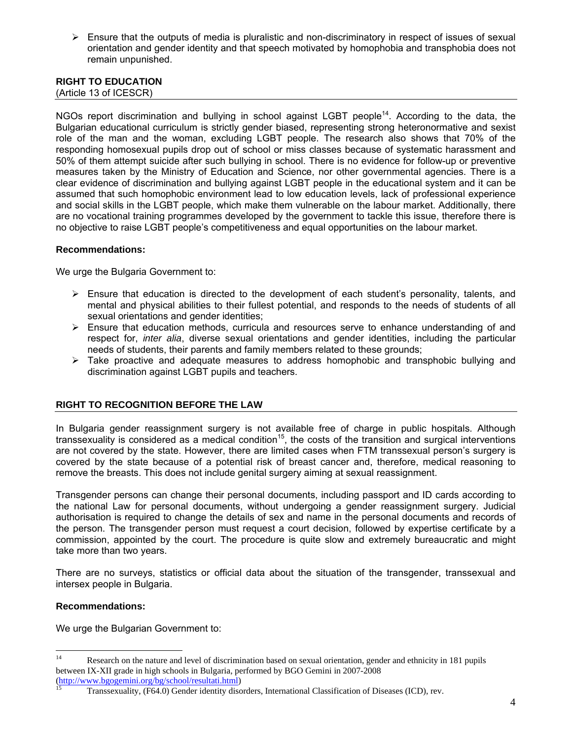$\triangleright$  Ensure that the outputs of media is pluralistic and non-discriminatory in respect of issues of sexual orientation and gender identity and that speech motivated by homophobia and transphobia does not remain unpunished.

## **RIGHT TO EDUCATION**

(Article 13 of ICESCR)

NGOs report discrimination and bullying in school against LGBT people<sup>14</sup>. According to the data, the Bulgarian educational curriculum is strictly gender biased, representing strong heteronormative and sexist role of the man and the woman, excluding LGBT people. The research also shows that 70% of the responding homosexual pupils drop out of school or miss classes because of systematic harassment and 50% of them attempt suicide after such bullying in school. There is no evidence for follow-up or preventive measures taken by the Ministry of Education and Science, nor other governmental agencies. There is a clear evidence of discrimination and bullying against LGBT people in the educational system and it can be assumed that such homophobic environment lead to low education levels, lack of professional experience and social skills in the LGBT people, which make them vulnerable on the labour market. Additionally, there are no vocational training programmes developed by the government to tackle this issue, therefore there is no objective to raise LGBT people's competitiveness and equal opportunities on the labour market.

#### **Recommendations:**

We urge the Bulgaria Government to:

- $\triangleright$  Ensure that education is directed to the development of each student's personality, talents, and mental and physical abilities to their fullest potential, and responds to the needs of students of all sexual orientations and gender identities;
- $\triangleright$  Ensure that education methods, curricula and resources serve to enhance understanding of and respect for, *inter alia*, diverse sexual orientations and gender identities, including the particular needs of students, their parents and family members related to these grounds;
- $\triangleright$  Take proactive and adequate measures to address homophobic and transphobic bullying and discrimination against LGBT pupils and teachers.

#### **RIGHT TO RECOGNITION BEFORE THE LAW**

In Bulgaria gender reassignment surgery is not available free of charge in public hospitals. Although transsexuality is considered as a medical condition<sup>15</sup>, the costs of the transition and surgical interventions are not covered by the state. However, there are limited cases when FTM transsexual person's surgery is covered by the state because of a potential risk of breast cancer and, therefore, medical reasoning to remove the breasts. This does not include genital surgery aiming at sexual reassignment.

Transgender persons can change their personal documents, including passport and ID cards according to the national Law for personal documents, without undergoing a gender reassignment surgery. Judicial authorisation is required to change the details of sex and name in the personal documents and records of the person. The transgender person must request a court decision, followed by expertise certificate by a commission, appointed by the court. The procedure is quite slow and extremely bureaucratic and might take more than two years.

There are no surveys, statistics or official data about the situation of the transgender, transsexual and intersex people in Bulgaria.

#### **Recommendations:**

We urge the Bulgarian Government to:

 $14<sup>°</sup>$ Research on the nature and level of discrimination based on sexual orientation, gender and ethnicity in 181 pupils between IX-XII grade in high schools in Bulgaria, performed by BGO Gemini in 2007-2008<br>(http://www.bgogemini.org/bg/school/resultati.html)<br>15<br>Theoretics: Chief S. Chief S. Chief S. Chief S. Chief S. Chief S. Chief S. Chief

Transsexuality, (F64.0) Gender identity disorders, International Classification of Diseases (ICD), rev.